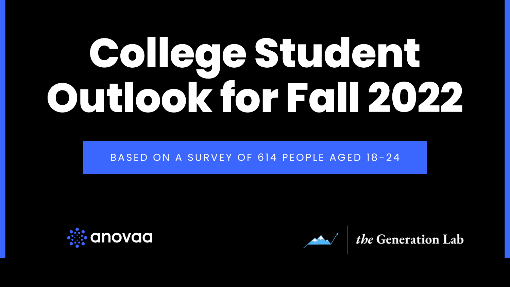# **College Student Outlook for Fall 2022**

#### BASED ON A SURVEY OF 614 PEOPLE AGED 18-24





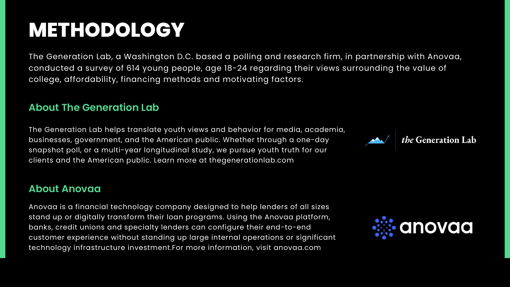The Generation Lab, a Washington D.C. based a polling and research firm, in partnership with Anovaa, conducted a survey of 614 young people, age 18-24 regarding their views surrounding the value of college, affordability, financing methods and motivating factors.

# **METHODOLOGY**

#### **About The Generation Lab**

The Generation Lab helps translate youth views and behavior for media, academia, businesses, government, and the American public. Whether through a one-day snapshot poll, or a multi-year longitudinal study, we pursue youth truth for our clients and the American public. Learn more at thegenerationlab.com

#### **About Anovaa**

Anovaa is a financial technology company designed to help lenders of all sizes stand up or digitally transform their loan programs. Using the Anovaa platform, banks, credit unions and specialty lenders can configure their end-to-end customer experience without standing up large internal operations or significant technology infrastructure investment.For more information, visit anovaa.com



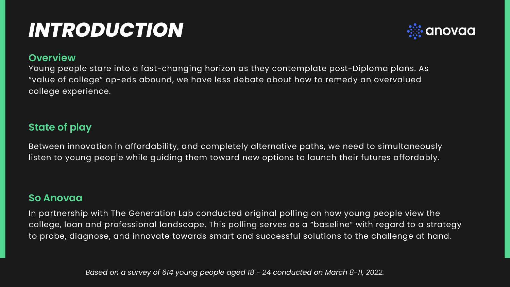#### **Overview**

Young people stare into a fast-changing horizon as they contemplate post-Diploma plans. As "value of college" op-eds abound, we have less debate about how to remedy an overvalued college experience.

# *INTRODUCTION*

#### **State of play**

Between innovation in affordability, and completely alternative paths, we need to simultaneously listen to young people while guiding them toward new options to launch their futures affordably.

#### **So Anovaa**

In partnership with The Generation Lab conducted original polling on how young people view the college, loan and professional landscape. This polling serves as a "baseline" with regard to a strategy to probe, diagnose, and innovate towards smart and successful solutions to the challenge at hand.

*Based on a survey of 614 young people aged 18 - 24 conducted on March 8-11, 2022.*

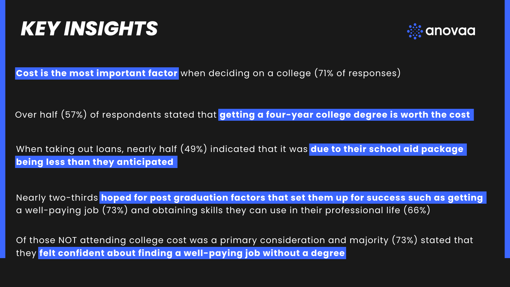# *KEY INSIGHTS*

Over half (57%) of respondents stated that **getting a four-year college degree is worth the cost**

Nearly two-thirds **hoped for post graduation factors that set them up for success such as getting** a well-paying job (73%) and obtaining skills they can use in their professional life (66%)

When taking out loans, nearly half (49%) indicated that it was **due to their school aid package being less than they anticipated**

**Cost is the most important factor** when deciding on a college (71% of responses)

Of those NOT attending college cost was a primary consideration and majority (73%) stated that they **felt confident about finding a well-paying job without a degree**

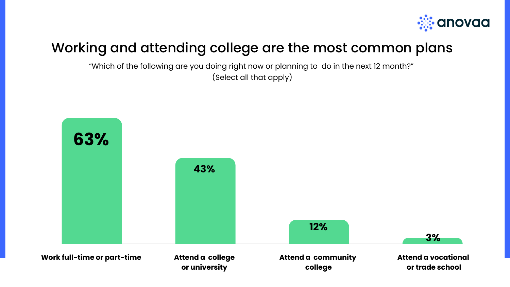### Working and attending college are the most common plans



**Work full-time or part-time**



"Which of the following are you doing right now or planning to do in the next 12 month?" (Select all that apply)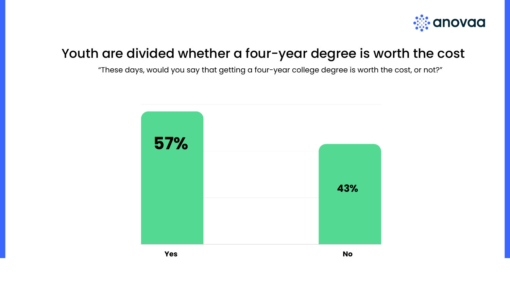### Youth are divided whether a four-year degree is worth the cost

"These days, would you say that getting a four-year college degree is worth the cost, or not?"





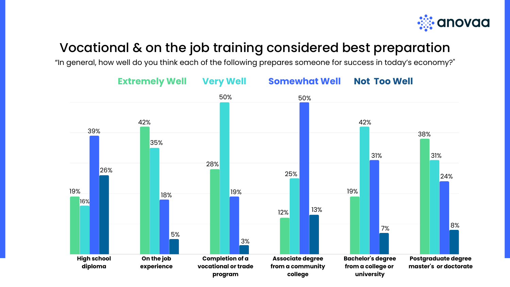### Vocational & on the job training considered best preparation

"In general, how well do you think each of the following prepares someone for success in today's economy?"



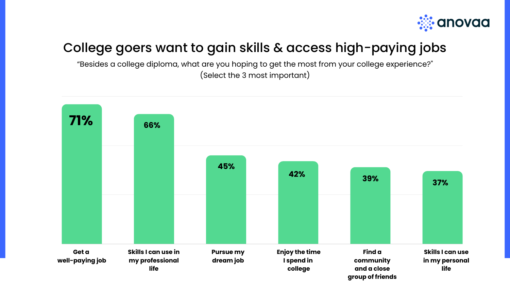### College goers want to gain skills & access high-paying jobs

"Besides a college diploma, what are you hoping to get the most from your college experience?" (Select the 3 most important)

**in my personal**





**group of friends**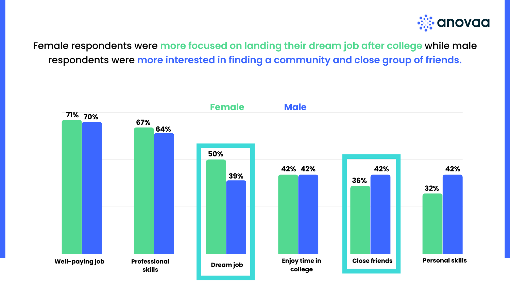#### Female respondents were **more focused on landing their dream job after college** while male respondents were **more interested in finding a community and close group of friends.**



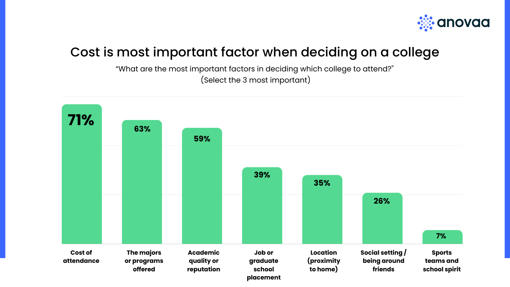### Cost is most important factor when deciding on a college

"What are the most important factors in deciding which college to attend?" (Select the 3 most important)



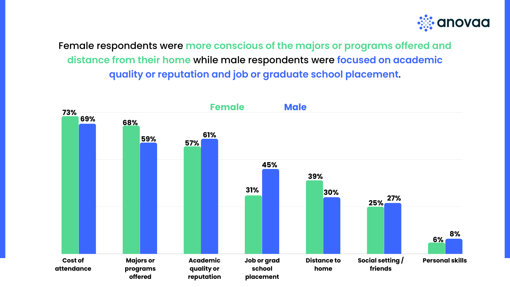Female respondents were **more conscious of the majors or programs offered and distance from their home** while male respondents were **focused on academic quality or reputation and job or graduate school placement**.



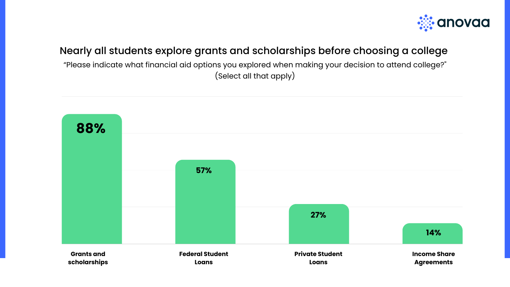#### Nearly all students explore grants and scholarships before choosing a college

"Please indicate what financial aid options you explored when making your decision to attend college?" (Select all that apply)



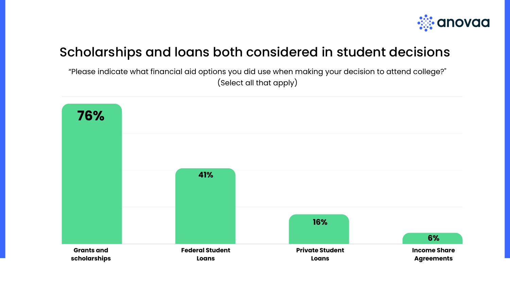#### Scholarships and loans both considered in student decisions

"Please indicate what financial aid options you did use when making your decision to attend college?" (Select all that apply)



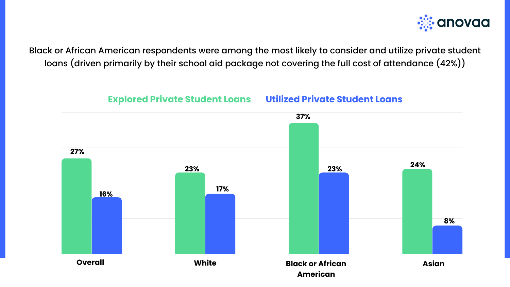Black or African American respondents were among the most likely to consider and utilize private student loans (driven primarily by their school aid package not covering the full cost of attendance (42%))

## **American**

**Asian**





# **23% 37% 17% 23% Explored Private Student Loans Utilized Private Student Loans 8% 24%**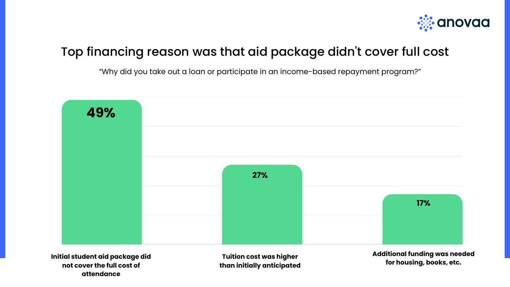#### Top financing reason was that aid package didn 't cover full cost

"Why did you take out a loan or participate in an income-based repayment program?"

**Tuition cost was higher than initially anticipated**





**Initial student aid package did not cover the full cost of attendance**

**Additional funding was needed for housing, books, etc.**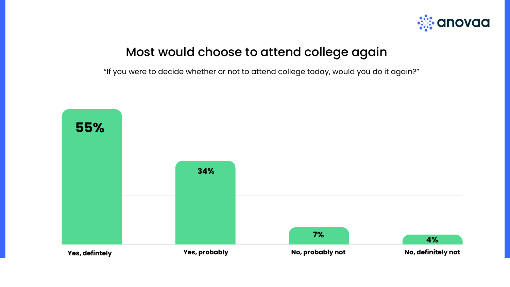#### Most would choose to attend college again

"If you were to decide whether or not to attend college today, would you do it again?"



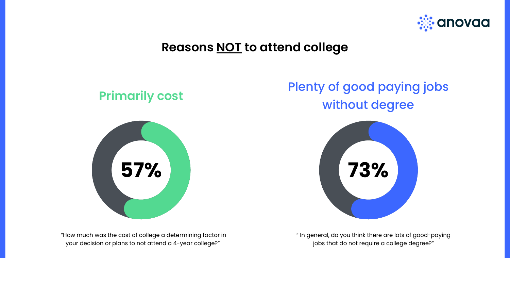"How much was the cost of college a determining factor in your decision or plans to not attend a 4-year college?"

" In general, do you think there are lots of good-paying jobs that do not require a college degree?"





#### **Primarily cost**



### Plenty of good paying jobs without degree

### **Reasons NOT to attend college**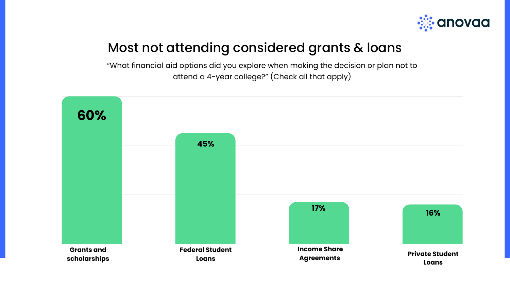### Most not attending considered grants & loans

"What financial aid options did you explore when making the decision or plan not to attend a 4-year college?" (Check all that apply)